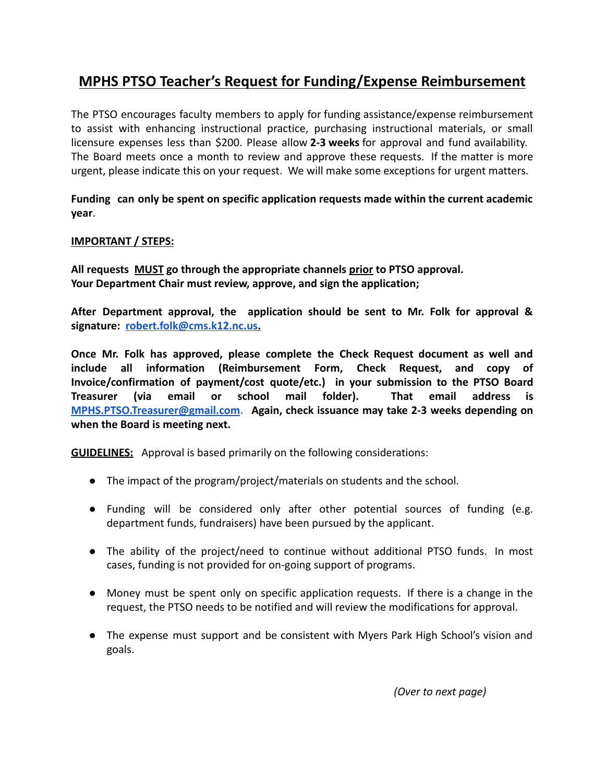## **MPHS PTSO Teacher's Request for Funding/Expense Reimbursement**

The PTSO encourages faculty members to apply for funding assistance/expense reimbursement to assist with enhancing instructional practice, purchasing instructional materials, or small licensure expenses less than \$200. Please allow **2-3 weeks** for approval and fund availability. The Board meets once a month to review and approve these requests. If the matter is more urgent, please indicate this on your request. We will make some exceptions for urgent matters.

**Funding can only be spent on specific application requests made within the current academic year**.

### **IMPORTANT / STEPS:**

**All requests MUST go through the appropriate channels prior to PTSO approval. Your Department Chair must review, approve, and sign the application;**

**After Department approval, the application should be sent to Mr. Folk for approval & signature: [robert.folk@cms.k12.nc.us.](mailto:robert.folk@cms.k12.nc.us)**

**Once Mr. Folk has approved, please complete the Check Request document as well and include all information (Reimbursement Form, Check Request, and copy of Invoice/confirmation of payment/cost quote/etc.) in your submission to the PTSO Board Treasurer (via email or school mail folder). That email address is [MPHS.PTSO.Treasurer@gmail.com](mailto:MPHS.PTSO.Treasurer@gmail.com). Again, check issuance may take 2-3 weeks depending on when the Board is meeting next.**

**GUIDELINES:** Approval is based primarily on the following considerations:

- The impact of the program/project/materials on students and the school.
- Funding will be considered only after other potential sources of funding (e.g. department funds, fundraisers) have been pursued by the applicant.
- The ability of the project/need to continue without additional PTSO funds. In most cases, funding is not provided for on-going support of programs.
- Money must be spent only on specific application requests. If there is a change in the request, the PTSO needs to be notified and will review the modifications for approval.
- The expense must support and be consistent with Myers Park High School's vision and goals.